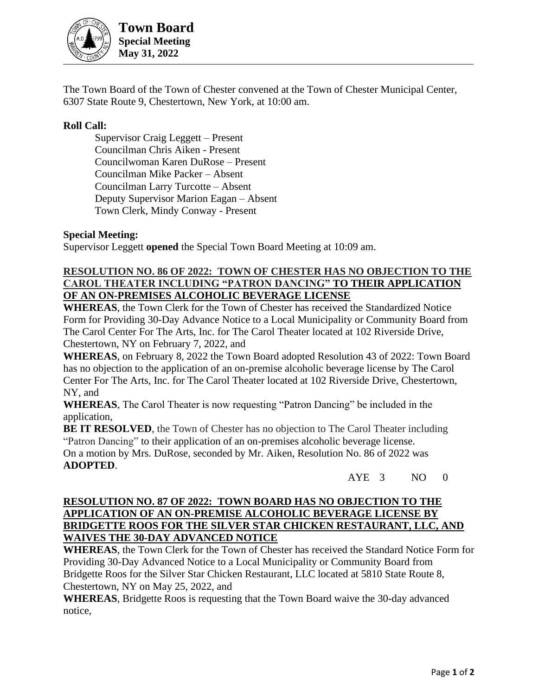

**Town Board Special Meeting May 31, 2022**

The Town Board of the Town of Chester convened at the Town of Chester Municipal Center, 6307 State Route 9, Chestertown, New York, at 10:00 am.

## **Roll Call:**

Supervisor Craig Leggett – Present Councilman Chris Aiken - Present Councilwoman Karen DuRose – Present Councilman Mike Packer – Absent Councilman Larry Turcotte – Absent Deputy Supervisor Marion Eagan – Absent Town Clerk, Mindy Conway - Present

## **Special Meeting:**

Supervisor Leggett **opened** the Special Town Board Meeting at 10:09 am.

## **RESOLUTION NO. 86 OF 2022: TOWN OF CHESTER HAS NO OBJECTION TO THE CAROL THEATER INCLUDING "PATRON DANCING" TO THEIR APPLICATION OF AN ON-PREMISES ALCOHOLIC BEVERAGE LICENSE**

**WHEREAS**, the Town Clerk for the Town of Chester has received the Standardized Notice Form for Providing 30-Day Advance Notice to a Local Municipality or Community Board from The Carol Center For The Arts, Inc. for The Carol Theater located at 102 Riverside Drive, Chestertown, NY on February 7, 2022, and

**WHEREAS**, on February 8, 2022 the Town Board adopted Resolution 43 of 2022: Town Board has no objection to the application of an on-premise alcoholic beverage license by The Carol Center For The Arts, Inc. for The Carol Theater located at 102 Riverside Drive, Chestertown, NY, and

**WHEREAS**, The Carol Theater is now requesting "Patron Dancing" be included in the application,

**BE IT RESOLVED**, the Town of Chester has no objection to The Carol Theater including "Patron Dancing" to their application of an on-premises alcoholic beverage license.

On a motion by Mrs. DuRose, seconded by Mr. Aiken, Resolution No. 86 of 2022 was **ADOPTED**.

AYE 3 NO 0

## **RESOLUTION NO. 87 OF 2022: TOWN BOARD HAS NO OBJECTION TO THE APPLICATION OF AN ON-PREMISE ALCOHOLIC BEVERAGE LICENSE BY BRIDGETTE ROOS FOR THE SILVER STAR CHICKEN RESTAURANT, LLC, AND WAIVES THE 30-DAY ADVANCED NOTICE**

**WHEREAS**, the Town Clerk for the Town of Chester has received the Standard Notice Form for Providing 30-Day Advanced Notice to a Local Municipality or Community Board from Bridgette Roos for the Silver Star Chicken Restaurant, LLC located at 5810 State Route 8, Chestertown, NY on May 25, 2022, and

**WHEREAS**, Bridgette Roos is requesting that the Town Board waive the 30-day advanced notice,